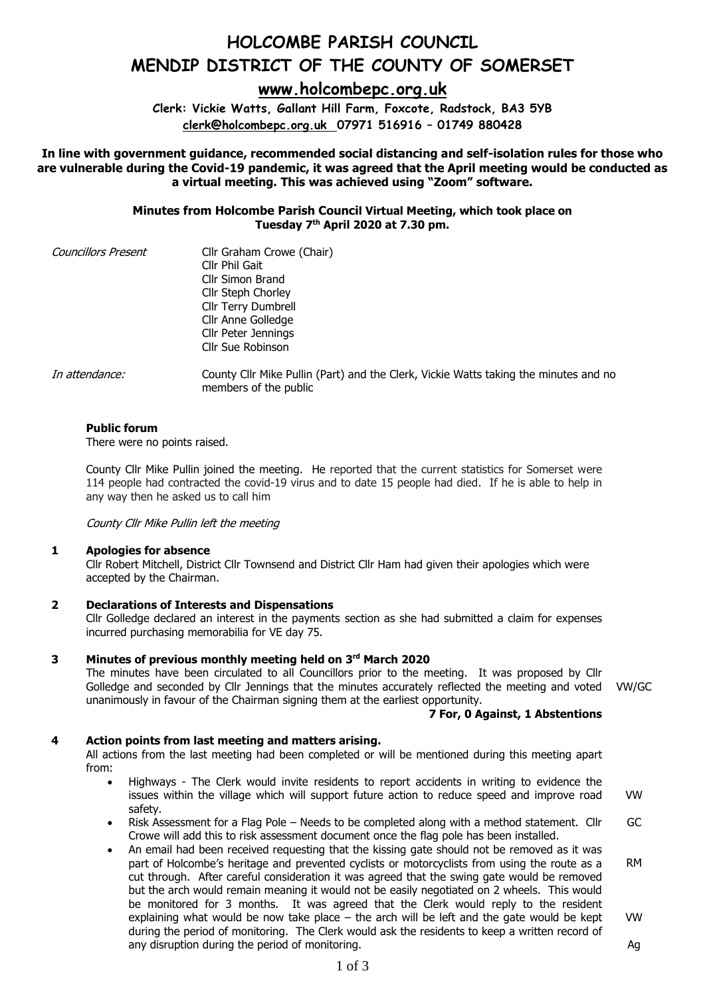# **HOLCOMBE PARISH COUNCIL MENDIP DISTRICT OF THE COUNTY OF SOMERSET**

**[www.holcombepc.org.uk](http://www.holcombepc.org.uk/)**

**Clerk: Vickie Watts, Gallant Hill Farm, Foxcote, Radstock, BA3 5YB [clerk@holcombepc.org.uk](mailto:victoriawatts@orange.net) 07971 516916 – 01749 880428**

**In line with government guidance, recommended social distancing and self-isolation rules for those who are vulnerable during the Covid-19 pandemic, it was agreed that the April meeting would be conducted as a virtual meeting. This was achieved using "Zoom" software.**

> **Minutes from Holcombe Parish Council Virtual Meeting, which took place on Tuesday 7 th April 2020 at 7.30 pm.**

| <b>Councillors Present</b> | Cllr Graham Crowe (Chair) |  |
|----------------------------|---------------------------|--|
|                            | Cllr Phil Gait            |  |
|                            | Cllr Simon Brand          |  |
|                            | Cllr Steph Chorley        |  |
|                            | Cllr Terry Dumbrell       |  |
|                            | Cllr Anne Golledge        |  |
|                            | Cllr Peter Jennings       |  |
|                            | Cllr Sue Robinson         |  |
|                            |                           |  |

In attendance: County Cllr Mike Pullin (Part) and the Clerk, Vickie Watts taking the minutes and no members of the public

#### **Public forum**

There were no points raised.

County Cllr Mike Pullin joined the meeting. He reported that the current statistics for Somerset were 114 people had contracted the covid-19 virus and to date 15 people had died. If he is able to help in any way then he asked us to call him

County Cllr Mike Pullin left the meeting

#### **1 Apologies for absence**

Cllr Robert Mitchell, District Cllr Townsend and District Cllr Ham had given their apologies which were accepted by the Chairman.

#### **2 Declarations of Interests and Dispensations**

Cllr Golledge declared an interest in the payments section as she had submitted a claim for expenses incurred purchasing memorabilia for VE day 75.

#### **3 Minutes of previous monthly meeting held on 3 rd March 2020**

The minutes have been circulated to all Councillors prior to the meeting. It was proposed by Cllr Golledge and seconded by Cllr Jennings that the minutes accurately reflected the meeting and voted VW/GC unanimously in favour of the Chairman signing them at the earliest opportunity.

#### **7 For, 0 Against, 1 Abstentions**

#### **4 Action points from last meeting and matters arising.**

All actions from the last meeting had been completed or will be mentioned during this meeting apart from:

- Highways The Clerk would invite residents to report accidents in writing to evidence the issues within the village which will support future action to reduce speed and improve road safety. VW
- Risk Assessment for a Flag Pole Needs to be completed along with a method statement. Cllr Crowe will add this to risk assessment document once the flag pole has been installed. GC
- An email had been received requesting that the kissing gate should not be removed as it was part of Holcombe's heritage and prevented cyclists or motorcyclists from using the route as a cut through. After careful consideration it was agreed that the swing gate would be removed but the arch would remain meaning it would not be easily negotiated on 2 wheels. This would be monitored for 3 months. It was agreed that the Clerk would reply to the resident explaining what would be now take place – the arch will be left and the gate would be kept during the period of monitoring. The Clerk would ask the residents to keep a written record of any disruption during the period of monitoring. RM VW Ag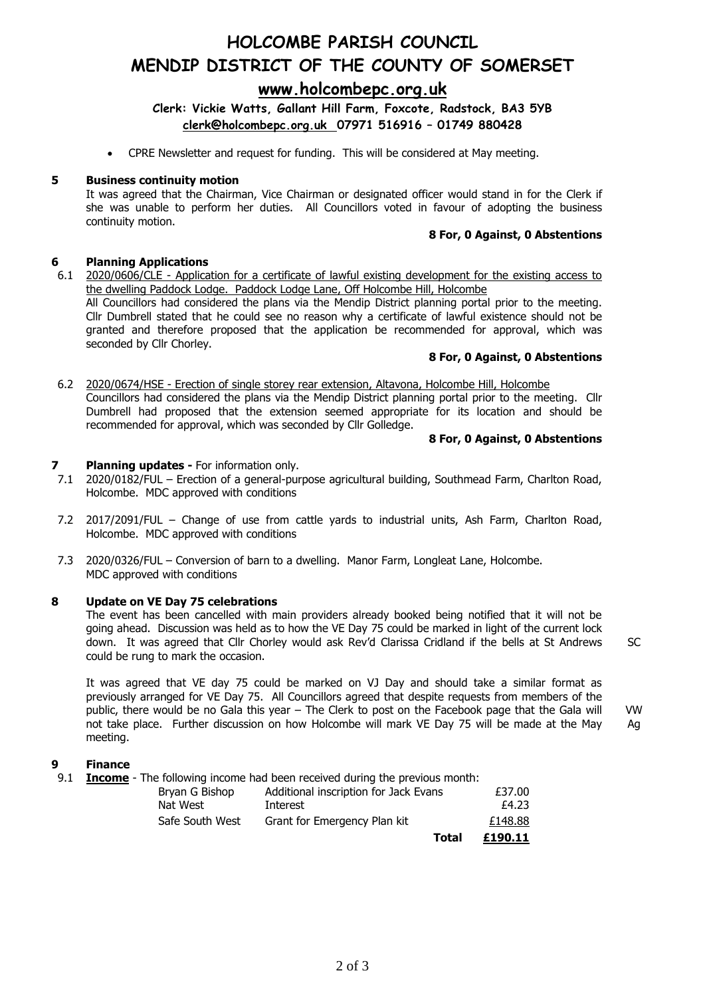# **HOLCOMBE PARISH COUNCIL MENDIP DISTRICT OF THE COUNTY OF SOMERSET**

## **[www.holcombepc.org.uk](http://www.holcombepc.org.uk/)**

**Clerk: Vickie Watts, Gallant Hill Farm, Foxcote, Radstock, BA3 5YB [clerk@holcombepc.org.uk](mailto:victoriawatts@orange.net) 07971 516916 – 01749 880428**

• CPRE Newsletter and request for funding. This will be considered at May meeting.

#### **5 Business continuity motion**

It was agreed that the Chairman, Vice Chairman or designated officer would stand in for the Clerk if she was unable to perform her duties. All Councillors voted in favour of adopting the business continuity motion.

#### **8 For, 0 Against, 0 Abstentions**

#### **6 Planning Applications**

6.1 2020/0606/CLE - Application for a certificate of lawful existing development for the existing access to the dwelling Paddock Lodge. Paddock Lodge Lane, Off Holcombe Hill, Holcombe All Councillors had considered the plans via the Mendip District planning portal prior to the meeting.

Cllr Dumbrell stated that he could see no reason why a certificate of lawful existence should not be granted and therefore proposed that the application be recommended for approval, which was seconded by Cllr Chorley.

#### **8 For, 0 Against, 0 Abstentions**

6.2 2020/0674/HSE - Erection of single storey rear extension, Altavona, Holcombe Hill, Holcombe Councillors had considered the plans via the Mendip District planning portal prior to the meeting. Cllr Dumbrell had proposed that the extension seemed appropriate for its location and should be recommended for approval, which was seconded by Cllr Golledge.

#### **8 For, 0 Against, 0 Abstentions**

**SC** 

#### **7 Planning updates -** For information only.

- 7.1 2020/0182/FUL – Erection of a general-purpose agricultural building, Southmead Farm, Charlton Road, Holcombe. MDC approved with conditions
- 7.2 2017/2091/FUL Change of use from cattle yards to industrial units, Ash Farm, Charlton Road, Holcombe. MDC approved with conditions
- 7.3 2020/0326/FUL Conversion of barn to a dwelling. Manor Farm, Longleat Lane, Holcombe. MDC approved with conditions

## **8 Update on VE Day 75 celebrations**

The event has been cancelled with main providers already booked being notified that it will not be going ahead. Discussion was held as to how the VE Day 75 could be marked in light of the current lock down. It was agreed that Cllr Chorley would ask Rev'd Clarissa Cridland if the bells at St Andrews could be rung to mark the occasion.

It was agreed that VE day 75 could be marked on VJ Day and should take a similar format as previously arranged for VE Day 75. All Councillors agreed that despite requests from members of the public, there would be no Gala this year – The Clerk to post on the Facebook page that the Gala will not take place. Further discussion on how Holcombe will mark VE Day 75 will be made at the May meeting. VW Ag

## **9 Finance**

9.1 **Income** - The following income had been received during the previous month:

|                |                 |                                       | Total | £190.11 |
|----------------|-----------------|---------------------------------------|-------|---------|
|                | Safe South West | Grant for Emergency Plan kit          |       | £148.88 |
| Nat West       |                 | Interest                              |       | £4.23   |
| Bryan G Bishop |                 | Additional inscription for Jack Evans |       | £37.00  |